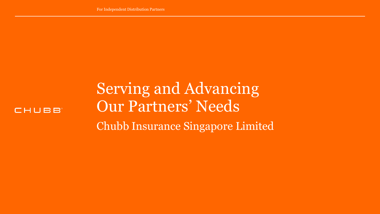

Serving and Advancing Our Partners' Needs Chubb Insurance Singapore Limited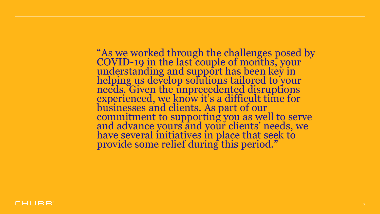"As we worked through the challenges posed by COVID-19 in the last couple of months, your understanding and support has been key in helping us develop solutions tailored to your needs. Given the unprecedented disruptions experienced, we know it's a difficult time for businesses and clients. As part of our commitment to supporting you as well to serve and advance yours and your clients' needs, we have several initiatives in place that seek to provide some relief during this period."

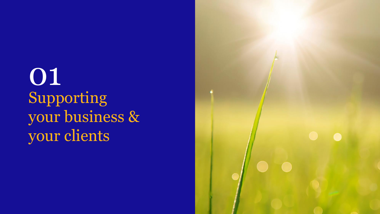Supporting your business & your clients 01

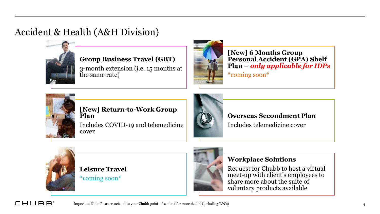# Accident & Health (A&H Division)



### **Group Business Travel (GBT)**

3-month extension (i.e. 15 months at the same rate)



**[New] 6 Months Group Personal Accident (GPA) Shelf Plan –** *only applicable for IDPs* \*coming soon\*



#### **[New] Return-to-Work Group Plan**

Includes COVID-19 and telemedicine cover



# **Overseas Secondment Plan**

Includes telemedicine cover



**Leisure Travel** \*coming soon\*



#### **Workplace Solutions**

Request for Chubb to host a virtual meet-up with client's employees to share more about the suite of voluntary products available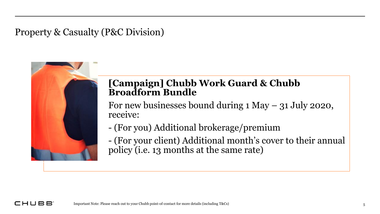Property & Casualty (P&C Division)



# **[Campaign] Chubb Work Guard & Chubb Broadform Bundle**

For new businesses bound during 1 May – 31 July 2020, receive:

- (For you) Additional brokerage/premium
- (For your client) Additional month's cover to their annual policy (i.e. 13 months at the same rate)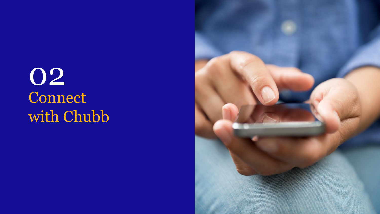**Connect** with Chubb 02

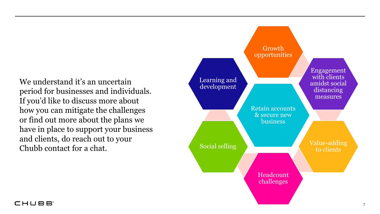We understand it's an uncertain Learning and<br>development period for businesses and individuals. If you'd like to discuss more about how you can mitigate the challenges or find out more about the plans we have in place to support your business and clients, do reach out to your Chubb contact for a chat.



#### CHUBB<sup>®</sup>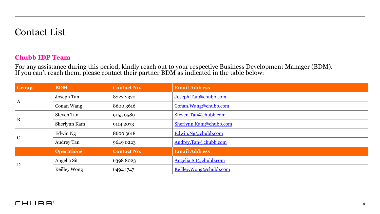# Contact List

#### **Chubb IDP Team**

For any assistance during this period, kindly reach out to your respective Business Development Manager (BDM). If you can't reach them, please contact their partner BDM as indicated in the table below:

| Group        | <b>BDM</b>        | <b>Contact No.</b> | <b>Email Address</b>   |
|--------------|-------------------|--------------------|------------------------|
| $\mathbf{A}$ | Joseph Tan        | 8222 2370          | Joseph.Tan@chubb.com   |
|              | Conan Wang        | 8600 3616          | Conan.Wang@chubb.com   |
| $\bf{B}$     | <b>Steven Tan</b> | 9155 0589          | Steven.Tan@chubb.com   |
|              | Sherlynn Kam      | 9114 2073          | Sherlynn.Kam@chubb.com |
| $\mathbf C$  | Edwin Ng          | 8600 3618          | Edwin.Ng@chubb.com     |
|              | Audrey Tan        | 9649 0223          | Audrey.Tan@chubb.com   |
|              | <b>Operations</b> | <b>Contact No.</b> | <b>Email Address</b>   |
| D            | Angelia Sit       | 63988023           | Angelia.Sit@chubb.com  |
|              | Keilley Wong      | 6494 1747          | Keilley.Wong@chubb.com |

#### CHUBB<sup>®</sup>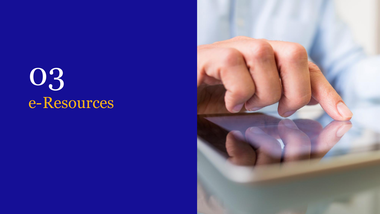# e-Resources 03

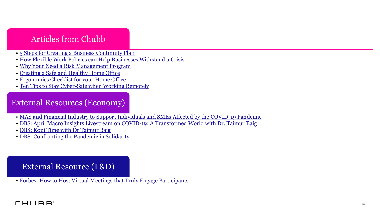## Articles from Chubb

- [5 Steps for Creating a Business Continuity Plan](https://www.chubb.com/sg-en/articles/5-steps-for-creating-a-business-continuity-plan.aspx)
- [How Flexible Work Policies can Help Businesses Withstand a Crisis](https://www.chubb.com/sg-en/articles/how-flexible-workplace-policies-can-help-businesses-withstand-a-crisis.aspx)
- [Why Your Need a Risk Management Program](https://www.chubb.com/sg-en/articles/why-you-need-a-risk-management-program.aspx)
- [Creating a Safe and Healthy Home Office](https://www.chubb.com/sg-en/articles/creating-a-safe-healthy-home-office.aspx)
- [Ergonomics Checklist for your Home Office](https://www.chubb.com/sg-en/articles/ergonomics-checklist-for-your-home-office.aspx)
- [Ten Tips to Stay Cyber-Safe when Working Remotely](https://www.chubb.com/sg-en/articles/ten-tips-to-stay-cyber-safe-when-working-remotely.aspx)

## External Resources (Economy)

- [MAS and Financial Industry to Support Individuals and SMEs Affected by the COVID-19 Pandemic](https://www.mas.gov.sg/news/media-releases/2020/mas-and-financial-industry-to-support-individuals-and-smes-affected-by-the-covid-19-pandemic)
- [DBS: April Macro Insights Livestream on COVID-19: A Transformed World with Dr. Taimur Baig](https://www.dbs.com.sg/treasures/aics/economics/templatedata/article/generic/data/en/GR/042020/202000427-livestream_ai.xml)
- [DBS: Kopi Time with Dr](https://www.dbs.com.sg/corporate/aics/templatedata/article/generic/data/en/GR/042020/kopi-time-008-ia.xml) Taimur Baig
- [DBS: Confronting the Pandemic in Solidarity](https://www.dbs.com.sg/corporate/aics/templatedata/article/generic/data/en/GR/042020/200407_insights_singapore.xml)

## External Resource (L&D)

• [Forbes: How to Host Virtual Meetings that Truly Engage Participants](https://www.forbes.com/sites/ashiraprossack1/2020/04/30/how-to-host-virtual-meetings-that-truly-engage-participants/)

#### CHUBB